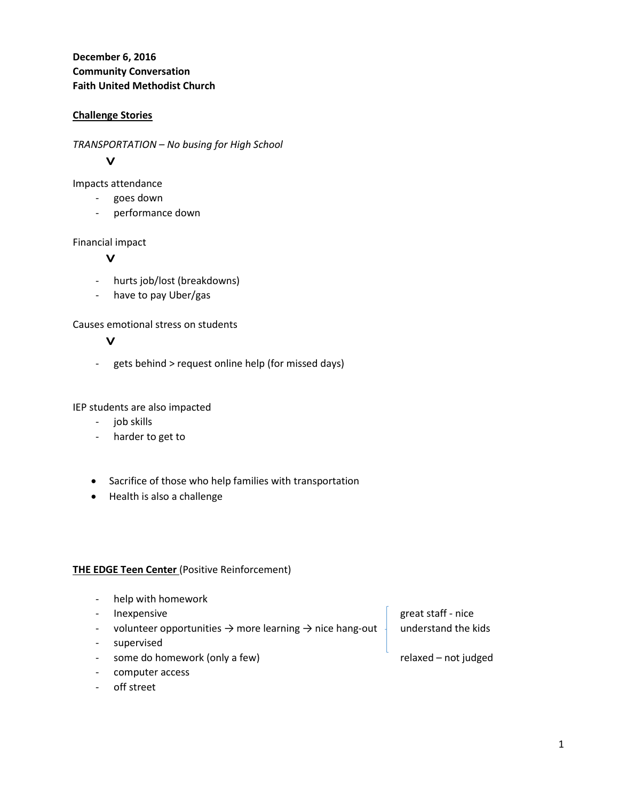**December 6, 2016 Community Conversation Faith United Methodist Church**

## **Challenge Stories**

*TRANSPORTATION – No busing for High School*

# $\mathbf{V}$

Impacts attendance

- goes down
- performance down

## Financial impact

## $\mathbf{V}$

- hurts job/lost (breakdowns)
- have to pay Uber/gas

Causes emotional stress on students

## $\mathbf{v}$

- gets behind > request online help (for missed days)

IEP students are also impacted

- job skills
- harder to get to
- Sacrifice of those who help families with transportation
- Health is also a challenge

#### **THE EDGE Teen Center** (Positive Reinforcement)

- help with homework
- Inexpensive and the staff of the staff of the staff nice
- volunteer opportunities  $\rightarrow$  more learning  $\rightarrow$  nice hang-out  $\frac{1}{2}$  understand the kids
- supervised
- some do homework (only a few) relaxed not judged
- computer access
- off street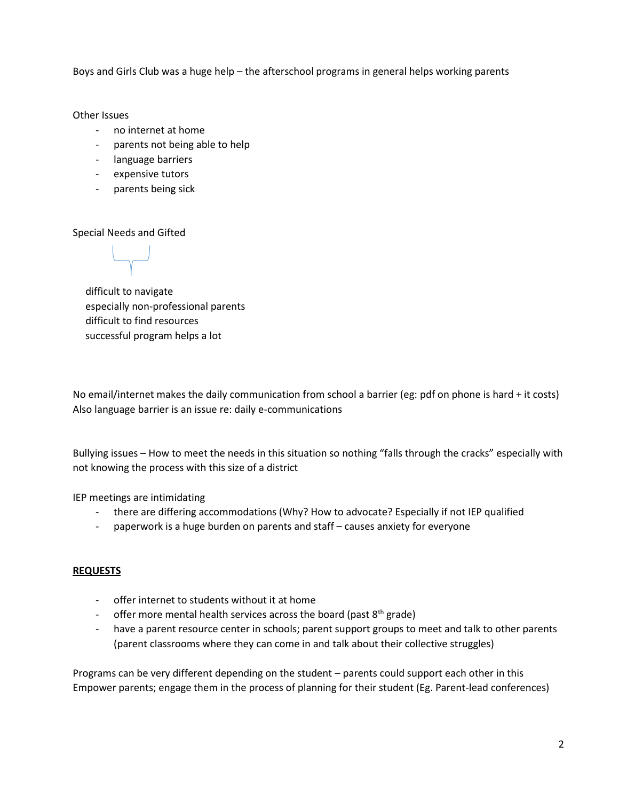Boys and Girls Club was a huge help – the afterschool programs in general helps working parents

Other Issues

- no internet at home
- parents not being able to help
- language barriers
- expensive tutors
- parents being sick

Special Needs and Gifted

 difficult to navigate especially non-professional parents difficult to find resources successful program helps a lot

No email/internet makes the daily communication from school a barrier (eg: pdf on phone is hard + it costs) Also language barrier is an issue re: daily e-communications

Bullying issues – How to meet the needs in this situation so nothing "falls through the cracks" especially with not knowing the process with this size of a district

IEP meetings are intimidating

- there are differing accommodations (Why? How to advocate? Especially if not IEP qualified
- paperwork is a huge burden on parents and staff causes anxiety for everyone

#### **REQUESTS**

- offer internet to students without it at home
- offer more mental health services across the board (past  $8<sup>th</sup>$  grade)
- have a parent resource center in schools; parent support groups to meet and talk to other parents (parent classrooms where they can come in and talk about their collective struggles)

Programs can be very different depending on the student – parents could support each other in this Empower parents; engage them in the process of planning for their student (Eg. Parent-lead conferences)